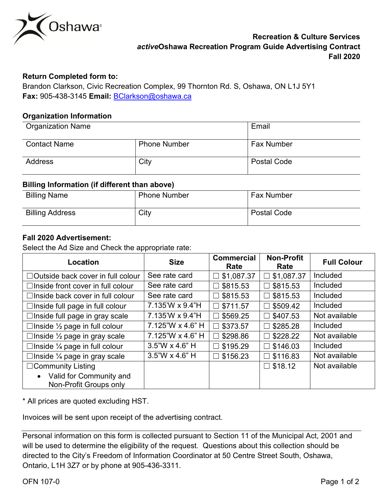

## **Return Completed form to:**

 **Fax:** 905-438-3145 **Email:** [BClarkson@oshawa.ca](mailto:BClarkson@oshawa.ca)  Brandon Clarkson, Civic Recreation Complex, 99 Thornton Rd. S, Oshawa, ON L1J 5Y1

## **Organization Information**

| <b>Organization Name</b> |                     | Email              |
|--------------------------|---------------------|--------------------|
| <b>Contact Name</b>      | <b>Phone Number</b> | <b>Fax Number</b>  |
| <b>Address</b>           | City                | <b>Postal Code</b> |

#### **Billing Information (if different than above)**

| <b>Billing Name</b>    | <b>Phone Number</b> | <b>Fax Number</b>  |
|------------------------|---------------------|--------------------|
| <b>Billing Address</b> | City                | <b>Postal Code</b> |

## **Fall 2020 Advertisement:**

Select the Ad Size and Check the appropriate rate:

| Location                                   | <b>Size</b>       | <b>Commercial</b><br>Rate | <b>Non-Profit</b><br>Rate | <b>Full Colour</b> |
|--------------------------------------------|-------------------|---------------------------|---------------------------|--------------------|
| $\Box$ Outside back cover in full colour   | See rate card     | $\square$ \$1,087.37      | \$1,087.37<br>$\Box$      | <b>Included</b>    |
| $\Box$ Inside front cover in full colour   | See rate card     | $\square$ \$815.53        | \$815.53<br>П             | Included           |
| $\Box$ Inside back cover in full colour    | See rate card     | $\square$ \$815.53        | \$815.53<br>П             | <b>Included</b>    |
| $\Box$ Inside full page in full colour     | 7.135'W x 9.4"H   | $\square$ \$711.57        | \$509.42<br>П             | <b>Included</b>    |
| $\Box$ Inside full page in gray scale      | 7.135'W x 9.4"H   | $\square$ \$569.25        | \$407.53<br>$\Box$        | Not available      |
| □ Inside $\frac{1}{2}$ page in full colour | 7.125"W x 4.6" H  | $\square$ \$373.57        | \$285.28<br>$\Box$        | <b>Included</b>    |
| □ Inside $\frac{1}{2}$ page in gray scale  | 7.125"W x 4.6" H  | $\Box$ \$298.86           | \$228.22<br>П             | Not available      |
| □Inside $\frac{1}{4}$ page in full colour  | $3.5$ "W x 4.6" H | $\square$ \$195.29        | \$146.03<br>$\Box$        | <b>Included</b>    |
| □ Inside $\frac{1}{4}$ page in gray scale  | $3.5$ "W x 4.6" H | $\square$ \$156.23        | \$116.83<br>$\Box$        | Not available      |
| $\Box$ Community Listing                   |                   |                           | $\square$ \$18.12         | Not available      |
| • Valid for Community and                  |                   |                           |                           |                    |
| Non-Profit Groups only                     |                   |                           |                           |                    |

\* All prices are quoted excluding HST.

Invoices will be sent upon receipt of the advertising contract.

| Personal information on this form is collected pursuant to Section 11 of the Municipal Act, 2001 and |
|------------------------------------------------------------------------------------------------------|
| will be used to determine the eligibility of the request. Questions about this collection should be  |
| directed to the City's Freedom of Information Coordinator at 50 Centre Street South, Oshawa,         |
| Ontario, L1H 3Z7 or by phone at 905-436-3311.                                                        |